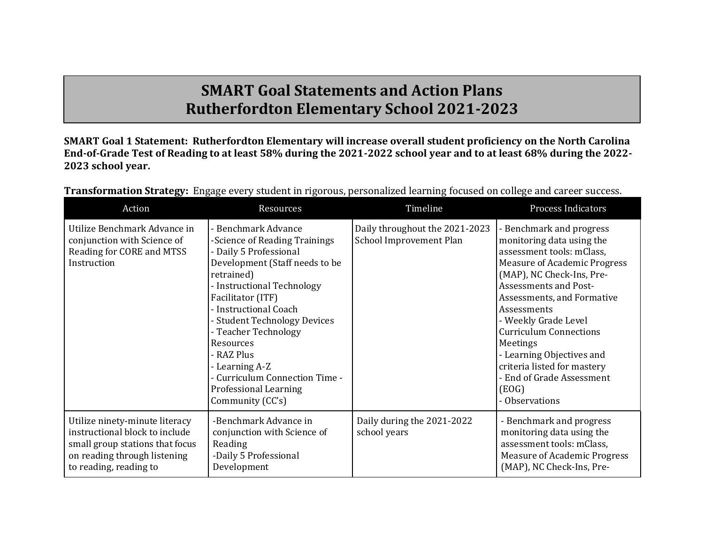## **SMART Goal Statements and Action Plans Rutherfordton Elementary School 2021-2023**

**SMART Goal 1 Statement: Rutherfordton Elementary will increase overall student proficiency on the North Carolina End-of-Grade Test of Reading to at least 58% during the 2021-2022 school year and to at least 68% during the 2022- 2023 school year.** 

| Action                                                                                                                                                        | <b>Resources</b>                                                                                                                                                                                                                                                                                                                                                                                      | Timeline                                                  | <b>Process Indicators</b>                                                                                                                                                                                                                                                                                                                                                                                                    |
|---------------------------------------------------------------------------------------------------------------------------------------------------------------|-------------------------------------------------------------------------------------------------------------------------------------------------------------------------------------------------------------------------------------------------------------------------------------------------------------------------------------------------------------------------------------------------------|-----------------------------------------------------------|------------------------------------------------------------------------------------------------------------------------------------------------------------------------------------------------------------------------------------------------------------------------------------------------------------------------------------------------------------------------------------------------------------------------------|
| Utilize Benchmark Advance in<br>conjunction with Science of<br>Reading for CORE and MTSS<br>Instruction                                                       | - Benchmark Advance<br>-Science of Reading Trainings<br>- Daily 5 Professional<br>Development (Staff needs to be<br>retrained)<br>- Instructional Technology<br>Facilitator (ITF)<br>- Instructional Coach<br>- Student Technology Devices<br>- Teacher Technology<br>Resources<br>- RAZ Plus<br>- Learning A-Z<br>- Curriculum Connection Time -<br><b>Professional Learning</b><br>Community (CC's) | Daily throughout the 2021-2023<br>School Improvement Plan | - Benchmark and progress<br>monitoring data using the<br>assessment tools: mClass,<br><b>Measure of Academic Progress</b><br>(MAP), NC Check-Ins, Pre-<br><b>Assessments and Post-</b><br>Assessments, and Formative<br>Assessments<br>- Weekly Grade Level<br><b>Curriculum Connections</b><br>Meetings<br>- Learning Objectives and<br>criteria listed for mastery<br>- End of Grade Assessment<br>(EOG)<br>- Observations |
| Utilize ninety-minute literacy<br>instructional block to include<br>small group stations that focus<br>on reading through listening<br>to reading, reading to | -Benchmark Advance in<br>conjunction with Science of<br>Reading<br>-Daily 5 Professional<br>Development                                                                                                                                                                                                                                                                                               | Daily during the 2021-2022<br>school years                | - Benchmark and progress<br>monitoring data using the<br>assessment tools: mClass,<br><b>Measure of Academic Progress</b><br>(MAP), NC Check-Ins, Pre-                                                                                                                                                                                                                                                                       |

**Transformation Strategy:** Engage every student in rigorous, personalized learning focused on college and career success.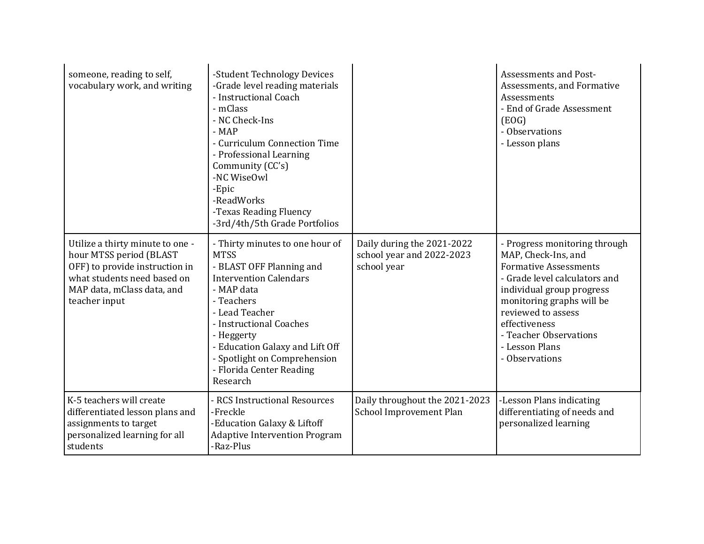| someone, reading to self,<br>vocabulary work, and writing                                                                                                                   | -Student Technology Devices<br>-Grade level reading materials<br>- Instructional Coach<br>- mClass<br>- NC Check-Ins<br>$-MAP$<br>- Curriculum Connection Time<br>- Professional Learning<br>Community (CC's)<br>-NC WiseOwl<br>-Epic<br>-ReadWorks<br>-Texas Reading Fluency<br>-3rd/4th/5th Grade Portfolios |                                                                        | Assessments and Post-<br>Assessments, and Formative<br>Assessments<br>- End of Grade Assessment<br>(EOG)<br>- Observations<br>- Lesson plans                                                                                                                                         |
|-----------------------------------------------------------------------------------------------------------------------------------------------------------------------------|----------------------------------------------------------------------------------------------------------------------------------------------------------------------------------------------------------------------------------------------------------------------------------------------------------------|------------------------------------------------------------------------|--------------------------------------------------------------------------------------------------------------------------------------------------------------------------------------------------------------------------------------------------------------------------------------|
| Utilize a thirty minute to one -<br>hour MTSS period (BLAST<br>OFF) to provide instruction in<br>what students need based on<br>MAP data, mClass data, and<br>teacher input | - Thirty minutes to one hour of<br><b>MTSS</b><br>- BLAST OFF Planning and<br><b>Intervention Calendars</b><br>- MAP data<br>- Teachers<br>- Lead Teacher<br>- Instructional Coaches<br>- Heggerty<br>- Education Galaxy and Lift Off<br>- Spotlight on Comprehension<br>- Florida Center Reading<br>Research  | Daily during the 2021-2022<br>school year and 2022-2023<br>school year | - Progress monitoring through<br>MAP, Check-Ins, and<br><b>Formative Assessments</b><br>- Grade level calculators and<br>individual group progress<br>monitoring graphs will be<br>reviewed to assess<br>effectiveness<br>- Teacher Observations<br>- Lesson Plans<br>- Observations |
| K-5 teachers will create<br>differentiated lesson plans and<br>assignments to target<br>personalized learning for all<br>students                                           | - RCS Instructional Resources<br>-Freckle<br>-Education Galaxy & Liftoff<br><b>Adaptive Intervention Program</b><br>-Raz-Plus                                                                                                                                                                                  | Daily throughout the 2021-2023<br>School Improvement Plan              | -Lesson Plans indicating<br>differentiating of needs and<br>personalized learning                                                                                                                                                                                                    |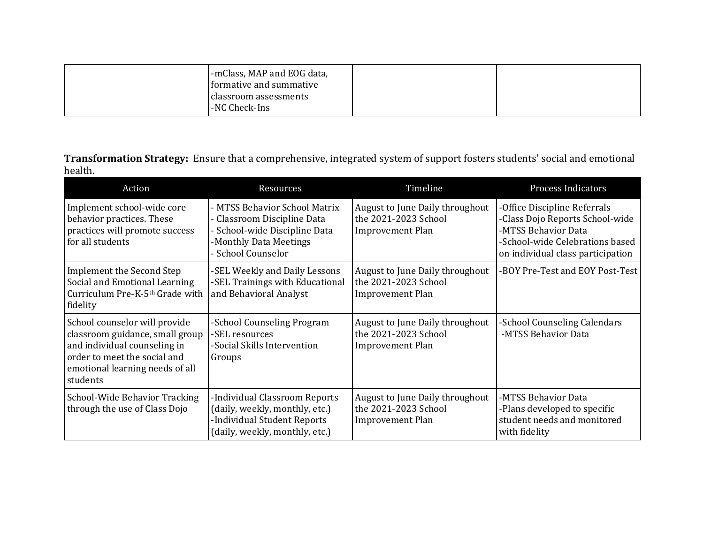| formative and summative<br>classroom assessments<br>-NC Check-Ins |
|-------------------------------------------------------------------|
|-------------------------------------------------------------------|

**Transformation Strategy:** Ensure that a comprehensive, integrated system of support fosters students' social and emotional health.

| Action                                                                                                                                                                          | Resources                                                                                                                                     | Timeline                                                                           | <b>Process Indicators</b>                                                                                                                                      |
|---------------------------------------------------------------------------------------------------------------------------------------------------------------------------------|-----------------------------------------------------------------------------------------------------------------------------------------------|------------------------------------------------------------------------------------|----------------------------------------------------------------------------------------------------------------------------------------------------------------|
| Implement school-wide core<br>behavior practices. These<br>practices will promote success<br>for all students                                                                   | - MTSS Behavior School Matrix<br>- Classroom Discipline Data<br>- School-wide Discipline Data<br>-Monthly Data Meetings<br>- School Counselor | August to June Daily throughout<br>the 2021-2023 School<br><b>Improvement Plan</b> | -Office Discipline Referrals<br>-Class Dojo Reports School-wide<br>-MTSS Behavior Data<br>-School-wide Celebrations based<br>on individual class participation |
| Implement the Second Step<br>Social and Emotional Learning<br>Curriculum Pre-K-5th Grade with<br>fidelity                                                                       | -SEL Weekly and Daily Lessons<br>-SEL Trainings with Educational<br>and Behavioral Analyst                                                    | August to June Daily throughout<br>the 2021-2023 School<br>Improvement Plan        | -BOY Pre-Test and EOY Post-Test                                                                                                                                |
| School counselor will provide<br>classroom guidance, small group<br>and individual counseling in<br>order to meet the social and<br>emotional learning needs of all<br>students | -School Counseling Program<br>-SEL resources<br>-Social Skills Intervention<br>Groups                                                         | August to June Daily throughout<br>the 2021-2023 School<br><b>Improvement Plan</b> | -School Counseling Calendars<br>-MTSS Behavior Data                                                                                                            |
| School-Wide Behavior Tracking<br>through the use of Class Dojo                                                                                                                  | -Individual Classroom Reports<br>(daily, weekly, monthly, etc.)<br>-Individual Student Reports<br>(daily, weekly, monthly, etc.)              | August to June Daily throughout<br>the 2021-2023 School<br><b>Improvement Plan</b> | -MTSS Behavior Data<br>-Plans developed to specific<br>student needs and monitored<br>with fidelity                                                            |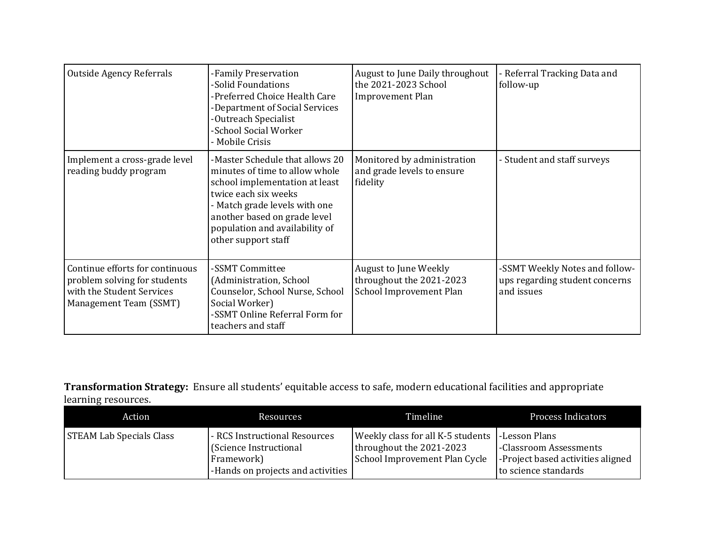| <b>Outside Agency Referrals</b>                                                                                        | -Family Preservation<br>-Solid Foundations<br>-Preferred Choice Health Care<br>-Department of Social Services<br>-Outreach Specialist<br>-School Social Worker<br>- Mobile Crisis                                                                     | August to June Daily throughout<br>the 2021-2023 School<br><b>Improvement Plan</b>  | - Referral Tracking Data and<br>follow-up                                      |
|------------------------------------------------------------------------------------------------------------------------|-------------------------------------------------------------------------------------------------------------------------------------------------------------------------------------------------------------------------------------------------------|-------------------------------------------------------------------------------------|--------------------------------------------------------------------------------|
| Implement a cross-grade level<br>reading buddy program                                                                 | -Master Schedule that allows 20<br>minutes of time to allow whole<br>school implementation at least<br>twice each six weeks<br>- Match grade levels with one<br>another based on grade level<br>population and availability of<br>other support staff | Monitored by administration<br>and grade levels to ensure<br>fidelity               | - Student and staff surveys                                                    |
| Continue efforts for continuous<br>problem solving for students<br>with the Student Services<br>Management Team (SSMT) | -SSMT Committee<br>(Administration, School<br>Counselor, School Nurse, School<br>Social Worker)<br>-SSMT Online Referral Form for<br>teachers and staff                                                                                               | <b>August to June Weekly</b><br>throughout the 2021-2023<br>School Improvement Plan | -SSMT Weekly Notes and follow-<br>ups regarding student concerns<br>and issues |

## **Transformation Strategy:** Ensure all students' equitable access to safe, modern educational facilities and appropriate learning resources.

| Action                          | Resources                                                                                                  | Timeline                                                                                                       | <b>Process Indicators</b>                                                           |
|---------------------------------|------------------------------------------------------------------------------------------------------------|----------------------------------------------------------------------------------------------------------------|-------------------------------------------------------------------------------------|
| <b>STEAM Lab Specials Class</b> | - RCS Instructional Resources<br>(Science Instructional<br>Framework)<br>-Hands on projects and activities | Weekly class for all K-5 students   -Lesson Plans<br>throughout the 2021-2023<br>School Improvement Plan Cycle | -Classroom Assessments<br>-Project based activities aligned<br>to science standards |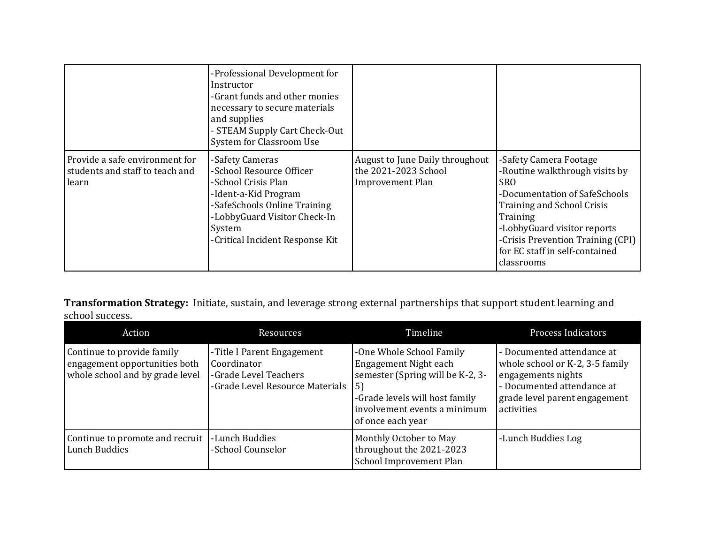|                                                                            | -Professional Development for<br>Instructor<br>-Grant funds and other monies<br>necessary to secure materials<br>and supplies<br>- STEAM Supply Cart Check-Out<br>System for Classroom Use              |                                                                                    |                                                                                                                                                                                                                                                                 |
|----------------------------------------------------------------------------|---------------------------------------------------------------------------------------------------------------------------------------------------------------------------------------------------------|------------------------------------------------------------------------------------|-----------------------------------------------------------------------------------------------------------------------------------------------------------------------------------------------------------------------------------------------------------------|
| Provide a safe environment for<br>students and staff to teach and<br>learn | -Safety Cameras<br>-School Resource Officer<br>-School Crisis Plan<br>-Ident-a-Kid Program<br>-SafeSchools Online Training<br>-LobbyGuard Visitor Check-In<br>System<br>-Critical Incident Response Kit | August to June Daily throughout<br>the 2021-2023 School<br><b>Improvement Plan</b> | -Safety Camera Footage<br>-Routine walkthrough visits by<br>SRO.<br>-Documentation of SafeSchools<br>Training and School Crisis<br>Training<br>-LobbyGuard visitor reports<br>-Crisis Prevention Training (CPI)<br>for EC staff in self-contained<br>classrooms |

**Transformation Strategy:** Initiate, sustain, and leverage strong external partnerships that support student learning and school success.

| Action                                                                                         | <b>Resources</b>                                                                                      | Timeline                                                                                                                                                                           | <b>Process Indicators</b>                                                                                                                                        |
|------------------------------------------------------------------------------------------------|-------------------------------------------------------------------------------------------------------|------------------------------------------------------------------------------------------------------------------------------------------------------------------------------------|------------------------------------------------------------------------------------------------------------------------------------------------------------------|
| Continue to provide family<br>engagement opportunities both<br>whole school and by grade level | -Title I Parent Engagement<br>Coordinator<br>-Grade Level Teachers<br>-Grade Level Resource Materials | -One Whole School Family<br>Engagement Night each<br>semester (Spring will be K-2, 3-<br>5)<br>-Grade levels will host family<br>involvement events a minimum<br>of once each year | - Documented attendance at<br>whole school or K-2, 3-5 family<br>engagements nights<br>- Documented attendance at<br>grade level parent engagement<br>activities |
| Continue to promote and recruit<br>Lunch Buddies                                               | -Lunch Buddies<br>-School Counselor                                                                   | Monthly October to May<br>throughout the 2021-2023<br>School Improvement Plan                                                                                                      | -Lunch Buddies Log                                                                                                                                               |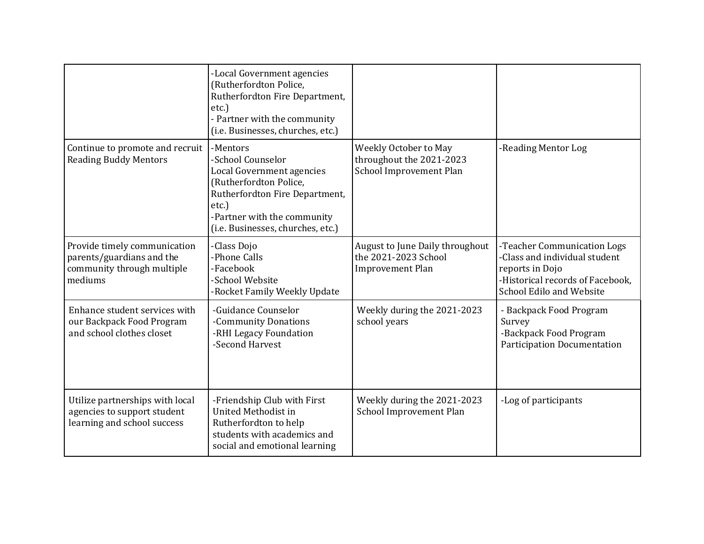|                                                                                                    | -Local Government agencies<br>(Rutherfordton Police,<br>Rutherfordton Fire Department,<br>$etc.$ )<br>- Partner with the community<br>(i.e. Businesses, churches, etc.)                                |                                                                                    |                                                                                                                                                 |
|----------------------------------------------------------------------------------------------------|--------------------------------------------------------------------------------------------------------------------------------------------------------------------------------------------------------|------------------------------------------------------------------------------------|-------------------------------------------------------------------------------------------------------------------------------------------------|
| Continue to promote and recruit<br><b>Reading Buddy Mentors</b>                                    | -Mentors<br>-School Counselor<br>Local Government agencies<br>(Rutherfordton Police,<br>Rutherfordton Fire Department,<br>$etc.$ )<br>-Partner with the community<br>(i.e. Businesses, churches, etc.) | Weekly October to May<br>throughout the 2021-2023<br>School Improvement Plan       | -Reading Mentor Log                                                                                                                             |
| Provide timely communication<br>parents/guardians and the<br>community through multiple<br>mediums | -Class Dojo<br>-Phone Calls<br>-Facebook<br>-School Website<br>-Rocket Family Weekly Update                                                                                                            | August to June Daily throughout<br>the 2021-2023 School<br><b>Improvement Plan</b> | -Teacher Communication Logs<br>-Class and individual student<br>reports in Dojo<br>-Historical records of Facebook,<br>School Edilo and Website |
| Enhance student services with<br>our Backpack Food Program<br>and school clothes closet            | -Guidance Counselor<br>-Community Donations<br>-RHI Legacy Foundation<br>-Second Harvest                                                                                                               | Weekly during the 2021-2023<br>school years                                        | - Backpack Food Program<br>Survey<br>-Backpack Food Program<br><b>Participation Documentation</b>                                               |
| Utilize partnerships with local<br>agencies to support student<br>learning and school success      | -Friendship Club with First<br>United Methodist in<br>Rutherfordton to help<br>students with academics and<br>social and emotional learning                                                            | Weekly during the 2021-2023<br>School Improvement Plan                             | -Log of participants                                                                                                                            |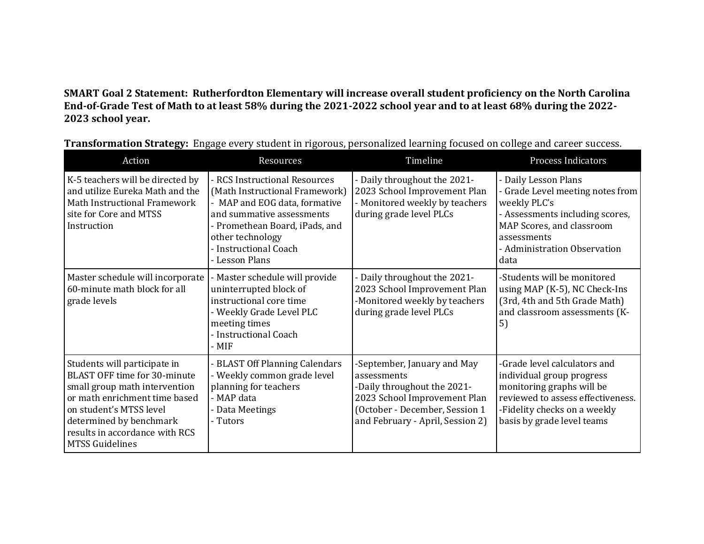**SMART Goal 2 Statement: Rutherfordton Elementary will increase overall student proficiency on the North Carolina End-of-Grade Test of Math to at least 58% during the 2021-2022 school year and to at least 68% during the 2022- 2023 school year.** 

| Action                                                                                                                                                                                                                                           | Resources                                                                                                                                                                                                                      | Timeline                                                                                                                                                                        | Process Indicators                                                                                                                                                                              |
|--------------------------------------------------------------------------------------------------------------------------------------------------------------------------------------------------------------------------------------------------|--------------------------------------------------------------------------------------------------------------------------------------------------------------------------------------------------------------------------------|---------------------------------------------------------------------------------------------------------------------------------------------------------------------------------|-------------------------------------------------------------------------------------------------------------------------------------------------------------------------------------------------|
| K-5 teachers will be directed by<br>and utilize Eureka Math and the<br>Math Instructional Framework<br>site for Core and MTSS<br>Instruction                                                                                                     | - RCS Instructional Resources<br>(Math Instructional Framework)<br>- MAP and EOG data, formative<br>and summative assessments<br>- Promethean Board, iPads, and<br>other technology<br>- Instructional Coach<br>- Lesson Plans | - Daily throughout the 2021-<br>2023 School Improvement Plan<br>- Monitored weekly by teachers<br>during grade level PLCs                                                       | - Daily Lesson Plans<br>- Grade Level meeting notes from<br>weekly PLC's<br>- Assessments including scores,<br>MAP Scores, and classroom<br>assessments<br>- Administration Observation<br>data |
| Master schedule will incorporate<br>60-minute math block for all<br>grade levels                                                                                                                                                                 | - Master schedule will provide<br>uninterrupted block of<br>instructional core time<br>- Weekly Grade Level PLC<br>meeting times<br>- Instructional Coach<br>- MIF                                                             | - Daily throughout the 2021-<br>2023 School Improvement Plan<br>-Monitored weekly by teachers<br>during grade level PLCs                                                        | -Students will be monitored<br>using MAP (K-5), NC Check-Ins<br>(3rd, 4th and 5th Grade Math)<br>and classroom assessments (K-<br>5)                                                            |
| Students will participate in<br>BLAST OFF time for 30-minute<br>small group math intervention<br>or math enrichment time based<br>on student's MTSS level<br>determined by benchmark<br>results in accordance with RCS<br><b>MTSS Guidelines</b> | - BLAST Off Planning Calendars<br>- Weekly common grade level<br>planning for teachers<br>- MAP data<br>- Data Meetings<br>- Tutors                                                                                            | -September, January and May<br>assessments<br>-Daily throughout the 2021-<br>2023 School Improvement Plan<br>(October - December, Session 1<br>and February - April, Session 2) | -Grade level calculators and<br>individual group progress<br>monitoring graphs will be<br>reviewed to assess effectiveness.<br>-Fidelity checks on a weekly<br>basis by grade level teams       |

**Transformation Strategy:** Engage every student in rigorous, personalized learning focused on college and career success.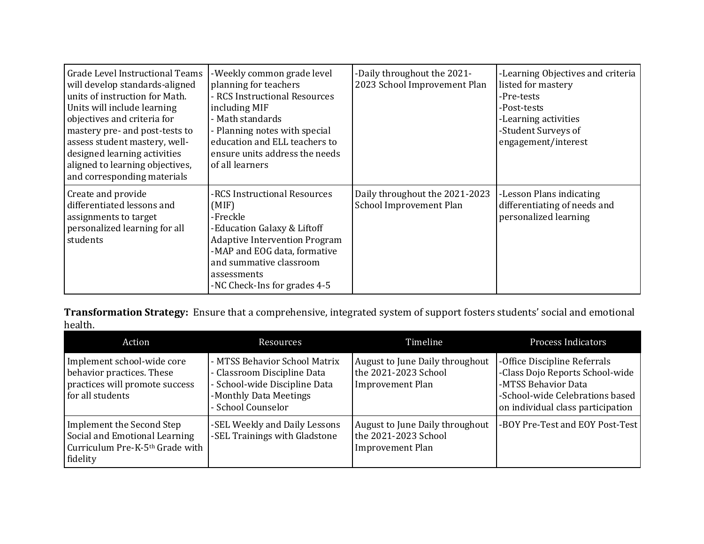| Grade Level Instructional Teams<br>will develop standards-aligned<br>units of instruction for Math.<br>Units will include learning<br>objectives and criteria for<br>mastery pre- and post-tests to<br>assess student mastery, well-<br>designed learning activities<br>aligned to learning objectives,<br>and corresponding materials | -Weekly common grade level<br>planning for teachers<br>- RCS Instructional Resources<br>including MIF<br>- Math standards<br>- Planning notes with special<br>education and ELL teachers to<br>ensure units address the needs<br>of all learners | -Daily throughout the 2021-<br>2023 School Improvement Plan | -Learning Objectives and criteria<br>listed for mastery<br>-Pre-tests<br>-Post-tests<br>-Learning activities<br>-Student Surveys of<br>engagement/interest |
|----------------------------------------------------------------------------------------------------------------------------------------------------------------------------------------------------------------------------------------------------------------------------------------------------------------------------------------|--------------------------------------------------------------------------------------------------------------------------------------------------------------------------------------------------------------------------------------------------|-------------------------------------------------------------|------------------------------------------------------------------------------------------------------------------------------------------------------------|
| Create and provide<br>differentiated lessons and<br>assignments to target<br>personalized learning for all<br>students                                                                                                                                                                                                                 | -RCS Instructional Resources<br>(MIF)<br>-Freckle<br>-Education Galaxy & Liftoff<br><b>Adaptive Intervention Program</b><br>-MAP and EOG data, formative<br>and summative classroom<br>assessments<br>-NC Check-Ins for grades 4-5               | Daily throughout the 2021-2023<br>School Improvement Plan   | -Lesson Plans indicating<br>differentiating of needs and<br>personalized learning                                                                          |

**Transformation Strategy:** Ensure that a comprehensive, integrated system of support fosters students' social and emotional health.

| Action                                                                                                        | <b>Resources</b>                                                                                                                              | Timeline                                                                           | <b>Process Indicators</b>                                                                                                                                      |
|---------------------------------------------------------------------------------------------------------------|-----------------------------------------------------------------------------------------------------------------------------------------------|------------------------------------------------------------------------------------|----------------------------------------------------------------------------------------------------------------------------------------------------------------|
| Implement school-wide core<br>behavior practices. These<br>practices will promote success<br>for all students | - MTSS Behavior School Matrix<br>- Classroom Discipline Data<br>- School-wide Discipline Data<br>-Monthly Data Meetings<br>- School Counselor | August to June Daily throughout<br>the 2021-2023 School<br><b>Improvement Plan</b> | -Office Discipline Referrals<br>-Class Dojo Reports School-wide<br>-MTSS Behavior Data<br>-School-wide Celebrations based<br>on individual class participation |
| Implement the Second Step<br>Social and Emotional Learning<br>Curriculum Pre-K-5th Grade with<br>fidelity     | -SEL Weekly and Daily Lessons<br>-SEL Trainings with Gladstone                                                                                | August to June Daily throughout<br>the 2021-2023 School<br><b>Improvement Plan</b> | -BOY Pre-Test and EOY Post-Test                                                                                                                                |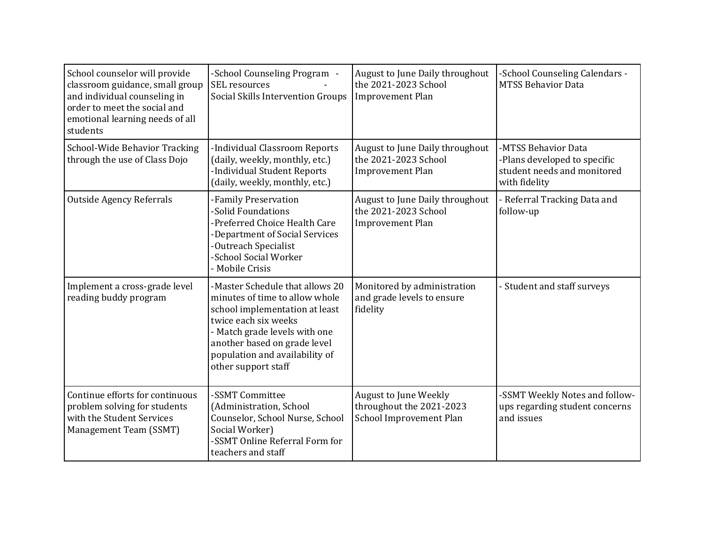| School counselor will provide<br>classroom guidance, small group<br>and individual counseling in<br>order to meet the social and<br>emotional learning needs of all<br>students | -School Counseling Program -<br><b>SEL</b> resources<br>Social Skills Intervention Groups                                                                                                                                                             | August to June Daily throughout<br>the 2021-2023 School<br><b>Improvement Plan</b> | -School Counseling Calendars -<br><b>MTSS Behavior Data</b>                                         |
|---------------------------------------------------------------------------------------------------------------------------------------------------------------------------------|-------------------------------------------------------------------------------------------------------------------------------------------------------------------------------------------------------------------------------------------------------|------------------------------------------------------------------------------------|-----------------------------------------------------------------------------------------------------|
| School-Wide Behavior Tracking<br>through the use of Class Dojo                                                                                                                  | -Individual Classroom Reports<br>(daily, weekly, monthly, etc.)<br>-Individual Student Reports<br>(daily, weekly, monthly, etc.)                                                                                                                      | August to June Daily throughout<br>the 2021-2023 School<br><b>Improvement Plan</b> | -MTSS Behavior Data<br>-Plans developed to specific<br>student needs and monitored<br>with fidelity |
| <b>Outside Agency Referrals</b>                                                                                                                                                 | -Family Preservation<br>-Solid Foundations<br>-Preferred Choice Health Care<br>-Department of Social Services<br>-Outreach Specialist<br>-School Social Worker<br>- Mobile Crisis                                                                     | August to June Daily throughout<br>the 2021-2023 School<br>Improvement Plan        | - Referral Tracking Data and<br>follow-up                                                           |
| Implement a cross-grade level<br>reading buddy program                                                                                                                          | -Master Schedule that allows 20<br>minutes of time to allow whole<br>school implementation at least<br>twice each six weeks<br>- Match grade levels with one<br>another based on grade level<br>population and availability of<br>other support staff | Monitored by administration<br>and grade levels to ensure<br>fidelity              | - Student and staff surveys                                                                         |
| Continue efforts for continuous<br>problem solving for students<br>with the Student Services<br>Management Team (SSMT)                                                          | -SSMT Committee<br>(Administration, School<br>Counselor, School Nurse, School<br>Social Worker)<br>-SSMT Online Referral Form for<br>teachers and staff                                                                                               | August to June Weekly<br>throughout the 2021-2023<br>School Improvement Plan       | -SSMT Weekly Notes and follow-<br>ups regarding student concerns<br>and issues                      |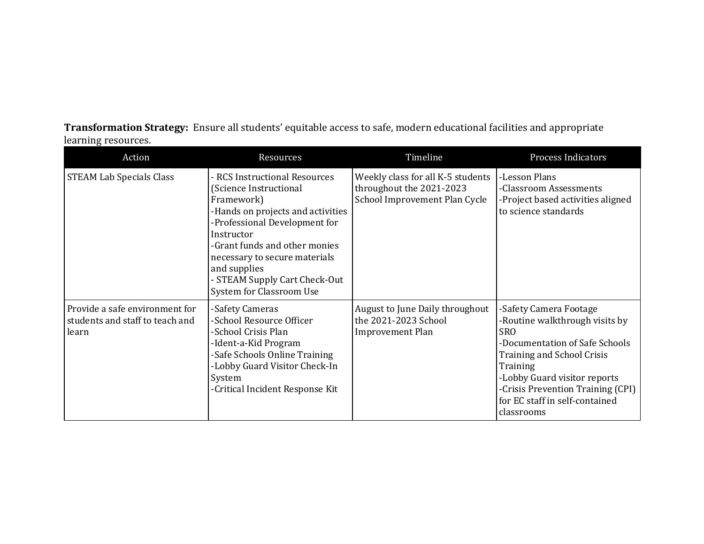**Transformation Strategy:** Ensure all students' equitable access to safe, modern educational facilities and appropriate learning resources.

| Action                                                                     | Resources                                                                                                                                                                                                                                                                                                | Timeline                                                                                       | <b>Process Indicators</b>                                                                                                                                                                                                                                               |
|----------------------------------------------------------------------------|----------------------------------------------------------------------------------------------------------------------------------------------------------------------------------------------------------------------------------------------------------------------------------------------------------|------------------------------------------------------------------------------------------------|-------------------------------------------------------------------------------------------------------------------------------------------------------------------------------------------------------------------------------------------------------------------------|
| <b>STEAM Lab Specials Class</b>                                            | - RCS Instructional Resources<br>(Science Instructional<br>Framework)<br>-Hands on projects and activities<br>-Professional Development for<br>Instructor<br>-Grant funds and other monies<br>necessary to secure materials<br>and supplies<br>- STEAM Supply Cart Check-Out<br>System for Classroom Use | Weekly class for all K-5 students<br>throughout the 2021-2023<br>School Improvement Plan Cycle | -Lesson Plans<br>-Classroom Assessments<br>-Project based activities aligned<br>to science standards                                                                                                                                                                    |
| Provide a safe environment for<br>students and staff to teach and<br>learn | -Safety Cameras<br>-School Resource Officer<br>-School Crisis Plan<br>-Ident-a-Kid Program<br>-Safe Schools Online Training<br>-Lobby Guard Visitor Check-In<br>System<br>-Critical Incident Response Kit                                                                                                | August to June Daily throughout<br>the 2021-2023 School<br><b>Improvement Plan</b>             | -Safety Camera Footage<br>-Routine walkthrough visits by<br><b>SRO</b><br>-Documentation of Safe Schools<br>Training and School Crisis<br>Training<br>-Lobby Guard visitor reports<br>-Crisis Prevention Training (CPI)<br>for EC staff in self-contained<br>classrooms |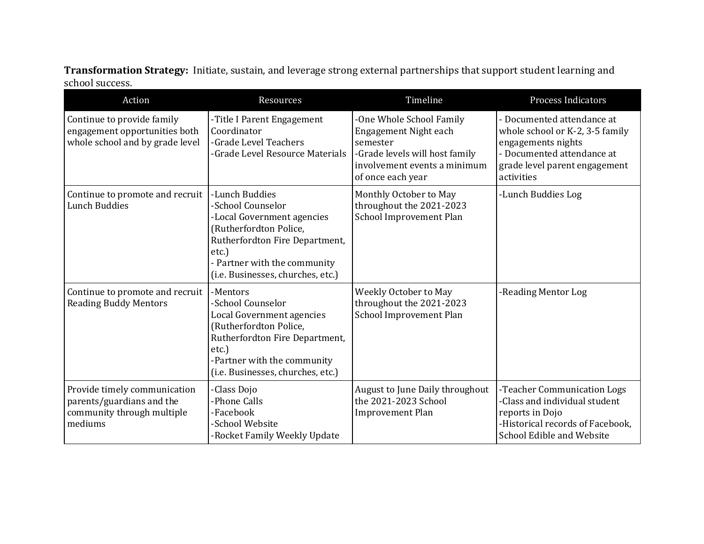**Transformation Strategy:** Initiate, sustain, and leverage strong external partnerships that support student learning and school success.

| Action                                                                                             | Resources                                                                                                                                                                                                      | Timeline                                                                                                                                             | <b>Process Indicators</b>                                                                                                                                        |
|----------------------------------------------------------------------------------------------------|----------------------------------------------------------------------------------------------------------------------------------------------------------------------------------------------------------------|------------------------------------------------------------------------------------------------------------------------------------------------------|------------------------------------------------------------------------------------------------------------------------------------------------------------------|
| Continue to provide family<br>engagement opportunities both<br>whole school and by grade level     | -Title I Parent Engagement<br>Coordinator<br>-Grade Level Teachers<br>-Grade Level Resource Materials                                                                                                          | -One Whole School Family<br>Engagement Night each<br>semester<br>-Grade levels will host family<br>involvement events a minimum<br>of once each year | - Documented attendance at<br>whole school or K-2, 3-5 family<br>engagements nights<br>- Documented attendance at<br>grade level parent engagement<br>activities |
| Continue to promote and recruit<br><b>Lunch Buddies</b>                                            | -Lunch Buddies<br>-School Counselor<br>-Local Government agencies<br>(Rutherfordton Police,<br>Rutherfordton Fire Department,<br>$etc.$ )<br>- Partner with the community<br>(i.e. Businesses, churches, etc.) | Monthly October to May<br>throughout the 2021-2023<br>School Improvement Plan                                                                        | -Lunch Buddies Log                                                                                                                                               |
| Continue to promote and recruit<br><b>Reading Buddy Mentors</b>                                    | -Mentors<br>-School Counselor<br>Local Government agencies<br>(Rutherfordton Police,<br>Rutherfordton Fire Department,<br>etc.)<br>-Partner with the community<br>(i.e. Businesses, churches, etc.)            | Weekly October to May<br>throughout the 2021-2023<br>School Improvement Plan                                                                         | -Reading Mentor Log                                                                                                                                              |
| Provide timely communication<br>parents/guardians and the<br>community through multiple<br>mediums | -Class Dojo<br>-Phone Calls<br>-Facebook<br>-School Website<br>-Rocket Family Weekly Update                                                                                                                    | August to June Daily throughout<br>the 2021-2023 School<br><b>Improvement Plan</b>                                                                   | -Teacher Communication Logs<br>-Class and individual student<br>reports in Dojo<br>-Historical records of Facebook,<br>School Edible and Website                 |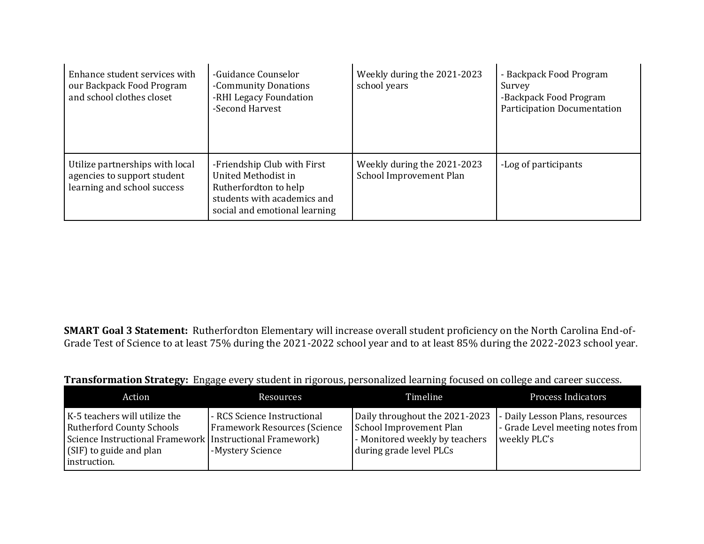| Enhance student services with<br>our Backpack Food Program<br>and school clothes closet       | -Guidance Counselor<br>-Community Donations<br>-RHI Legacy Foundation<br>-Second Harvest                                                    | Weekly during the 2021-2023<br>school years            | - Backpack Food Program<br>Survey<br>-Backpack Food Program<br><b>Participation Documentation</b> |
|-----------------------------------------------------------------------------------------------|---------------------------------------------------------------------------------------------------------------------------------------------|--------------------------------------------------------|---------------------------------------------------------------------------------------------------|
| Utilize partnerships with local<br>agencies to support student<br>learning and school success | -Friendship Club with First<br>United Methodist in<br>Rutherfordton to help<br>students with academics and<br>social and emotional learning | Weekly during the 2021-2023<br>School Improvement Plan | -Log of participants                                                                              |

**SMART Goal 3 Statement:** Rutherfordton Elementary will increase overall student proficiency on the North Carolina End-of-Grade Test of Science to at least 75% during the 2021-2022 school year and to at least 85% during the 2022-2023 school year.

|  |  | Transformation Strategy: Engage every student in rigorous, personalized learning focused on college and career success. |  |  |
|--|--|-------------------------------------------------------------------------------------------------------------------------|--|--|
|--|--|-------------------------------------------------------------------------------------------------------------------------|--|--|

| Action                                                                                                                                                                     | <b>Resources</b>                                                                | Timeline                                                                                                                                               | <b>Process Indicators</b>                          |
|----------------------------------------------------------------------------------------------------------------------------------------------------------------------------|---------------------------------------------------------------------------------|--------------------------------------------------------------------------------------------------------------------------------------------------------|----------------------------------------------------|
| K-5 teachers will utilize the<br><b>Rutherford County Schools</b><br>Science Instructional Framework   Instructional Framework)<br>(SIF) to guide and plan<br>instruction. | - RCS Science Instructional<br>Framework Resources (Science<br>-Mystery Science | Daily throughout the 2021-2023 - Daily Lesson Plans, resources<br>School Improvement Plan<br>- Monitored weekly by teachers<br>during grade level PLCs | - Grade Level meeting notes from  <br>weekly PLC's |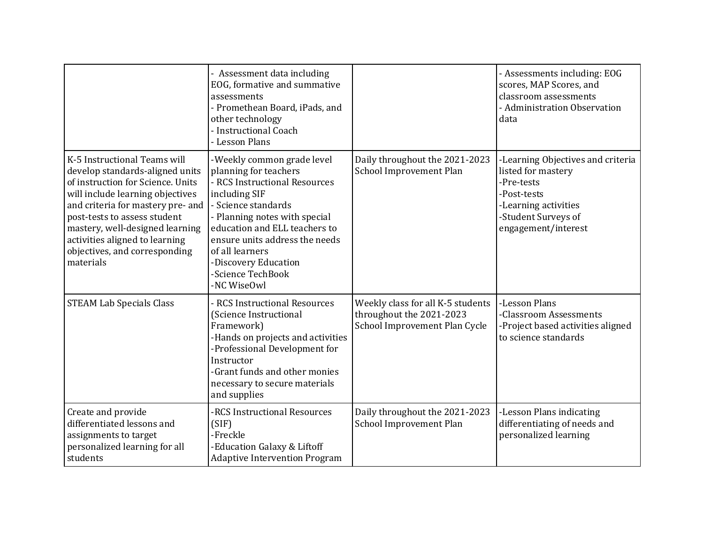|                                                                                                                                                                                                                                                                                                                                  | - Assessment data including<br>EOG, formative and summative<br>assessments<br>- Promethean Board, iPads, and<br>other technology<br>- Instructional Coach<br>- Lesson Plans                                                                                                                                     |                                                                                                | - Assessments including: EOG<br>scores, MAP Scores, and<br>classroom assessments<br>- Administration Observation<br>data                                   |
|----------------------------------------------------------------------------------------------------------------------------------------------------------------------------------------------------------------------------------------------------------------------------------------------------------------------------------|-----------------------------------------------------------------------------------------------------------------------------------------------------------------------------------------------------------------------------------------------------------------------------------------------------------------|------------------------------------------------------------------------------------------------|------------------------------------------------------------------------------------------------------------------------------------------------------------|
| K-5 Instructional Teams will<br>develop standards-aligned units<br>of instruction for Science. Units<br>will include learning objectives<br>and criteria for mastery pre- and<br>post-tests to assess student<br>mastery, well-designed learning<br>activities aligned to learning<br>objectives, and corresponding<br>materials | -Weekly common grade level<br>planning for teachers<br>- RCS Instructional Resources<br>including SIF<br>- Science standards<br>- Planning notes with special<br>education and ELL teachers to<br>ensure units address the needs<br>of all learners<br>-Discovery Education<br>-Science TechBook<br>-NC WiseOwl | Daily throughout the 2021-2023<br>School Improvement Plan                                      | -Learning Objectives and criteria<br>listed for mastery<br>-Pre-tests<br>-Post-tests<br>-Learning activities<br>-Student Surveys of<br>engagement/interest |
| <b>STEAM Lab Specials Class</b>                                                                                                                                                                                                                                                                                                  | - RCS Instructional Resources<br>(Science Instructional<br>Framework)<br>-Hands on projects and activities<br>-Professional Development for<br>Instructor<br>-Grant funds and other monies<br>necessary to secure materials<br>and supplies                                                                     | Weekly class for all K-5 students<br>throughout the 2021-2023<br>School Improvement Plan Cycle | -Lesson Plans<br>-Classroom Assessments<br>-Project based activities aligned<br>to science standards                                                       |
| Create and provide<br>differentiated lessons and<br>assignments to target<br>personalized learning for all<br>students                                                                                                                                                                                                           | -RCS Instructional Resources<br>(SIF)<br>-Freckle<br>-Education Galaxy & Liftoff<br><b>Adaptive Intervention Program</b>                                                                                                                                                                                        | Daily throughout the 2021-2023<br>School Improvement Plan                                      | -Lesson Plans indicating<br>differentiating of needs and<br>personalized learning                                                                          |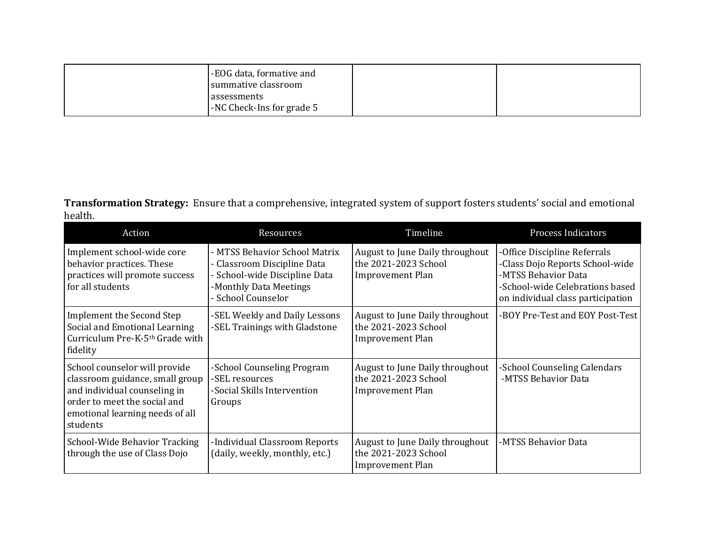| -EOG data, formative and<br>summative classroom |  |
|-------------------------------------------------|--|
| assessments<br>-NC Check-Ins for grade 5        |  |

**Transformation Strategy:** Ensure that a comprehensive, integrated system of support fosters students' social and emotional health.

| Action                                                                                                                                                                          | Resources                                                                                                                                     | Timeline                                                                           | <b>Process Indicators</b>                                                                                                                                      |
|---------------------------------------------------------------------------------------------------------------------------------------------------------------------------------|-----------------------------------------------------------------------------------------------------------------------------------------------|------------------------------------------------------------------------------------|----------------------------------------------------------------------------------------------------------------------------------------------------------------|
| Implement school-wide core<br>behavior practices. These<br>practices will promote success<br>for all students                                                                   | - MTSS Behavior School Matrix<br>- Classroom Discipline Data<br>- School-wide Discipline Data<br>-Monthly Data Meetings<br>- School Counselor | August to June Daily throughout<br>the 2021-2023 School<br><b>Improvement Plan</b> | -Office Discipline Referrals<br>-Class Dojo Reports School-wide<br>-MTSS Behavior Data<br>-School-wide Celebrations based<br>on individual class participation |
| Implement the Second Step<br>Social and Emotional Learning<br>Curriculum Pre-K-5th Grade with<br>fidelity                                                                       | -SEL Weekly and Daily Lessons<br>-SEL Trainings with Gladstone                                                                                | August to June Daily throughout<br>the 2021-2023 School<br><b>Improvement Plan</b> | -BOY Pre-Test and EOY Post-Test                                                                                                                                |
| School counselor will provide<br>classroom guidance, small group<br>and individual counseling in<br>order to meet the social and<br>emotional learning needs of all<br>students | -School Counseling Program<br>-SEL resources<br>-Social Skills Intervention<br>Groups                                                         | August to June Daily throughout<br>the 2021-2023 School<br><b>Improvement Plan</b> | -School Counseling Calendars<br>-MTSS Behavior Data                                                                                                            |
| School-Wide Behavior Tracking<br>through the use of Class Dojo                                                                                                                  | -Individual Classroom Reports<br>(daily, weekly, monthly, etc.)                                                                               | August to June Daily throughout<br>the 2021-2023 School<br><b>Improvement Plan</b> | -MTSS Behavior Data                                                                                                                                            |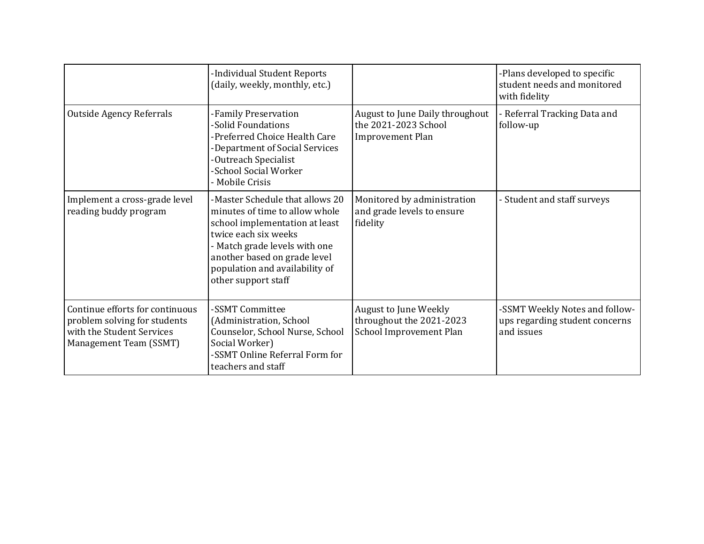|                                                                                                                        | -Individual Student Reports<br>(daily, weekly, monthly, etc.)                                                                                                                                                                                         |                                                                                     | -Plans developed to specific<br>student needs and monitored<br>with fidelity   |
|------------------------------------------------------------------------------------------------------------------------|-------------------------------------------------------------------------------------------------------------------------------------------------------------------------------------------------------------------------------------------------------|-------------------------------------------------------------------------------------|--------------------------------------------------------------------------------|
| <b>Outside Agency Referrals</b>                                                                                        | -Family Preservation<br>-Solid Foundations<br>-Preferred Choice Health Care<br>-Department of Social Services<br>-Outreach Specialist<br>-School Social Worker<br>- Mobile Crisis                                                                     | August to June Daily throughout<br>the 2021-2023 School<br><b>Improvement Plan</b>  | - Referral Tracking Data and<br>follow-up                                      |
| Implement a cross-grade level<br>reading buddy program                                                                 | -Master Schedule that allows 20<br>minutes of time to allow whole<br>school implementation at least<br>twice each six weeks<br>- Match grade levels with one<br>another based on grade level<br>population and availability of<br>other support staff | Monitored by administration<br>and grade levels to ensure<br>fidelity               | - Student and staff surveys                                                    |
| Continue efforts for continuous<br>problem solving for students<br>with the Student Services<br>Management Team (SSMT) | -SSMT Committee<br>(Administration, School<br>Counselor, School Nurse, School<br>Social Worker)<br>-SSMT Online Referral Form for<br>teachers and staff                                                                                               | <b>August to June Weekly</b><br>throughout the 2021-2023<br>School Improvement Plan | -SSMT Weekly Notes and follow-<br>ups regarding student concerns<br>and issues |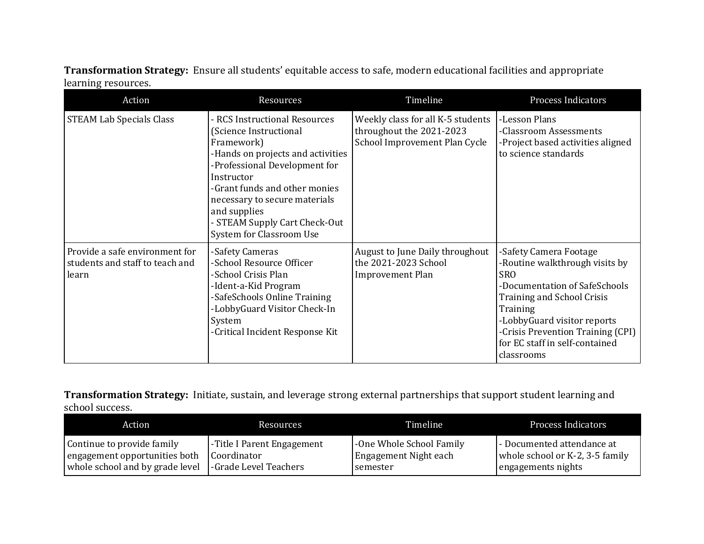**Transformation Strategy:** Ensure all students' equitable access to safe, modern educational facilities and appropriate learning resources.

| Action                                                                     | Resources                                                                                                                                                                                                                                                                                                | Timeline                                                                                       | <b>Process Indicators</b>                                                                                                                                                                                                                                             |
|----------------------------------------------------------------------------|----------------------------------------------------------------------------------------------------------------------------------------------------------------------------------------------------------------------------------------------------------------------------------------------------------|------------------------------------------------------------------------------------------------|-----------------------------------------------------------------------------------------------------------------------------------------------------------------------------------------------------------------------------------------------------------------------|
| <b>STEAM Lab Specials Class</b>                                            | - RCS Instructional Resources<br>(Science Instructional<br>Framework)<br>-Hands on projects and activities<br>-Professional Development for<br>Instructor<br>-Grant funds and other monies<br>necessary to secure materials<br>and supplies<br>- STEAM Supply Cart Check-Out<br>System for Classroom Use | Weekly class for all K-5 students<br>throughout the 2021-2023<br>School Improvement Plan Cycle | -Lesson Plans<br>-Classroom Assessments<br>-Project based activities aligned<br>to science standards                                                                                                                                                                  |
| Provide a safe environment for<br>students and staff to teach and<br>learn | -Safety Cameras<br>-School Resource Officer<br>-School Crisis Plan<br>-Ident-a-Kid Program<br>-SafeSchools Online Training<br>-LobbyGuard Visitor Check-In<br>System<br>-Critical Incident Response Kit                                                                                                  | August to June Daily throughout<br>the 2021-2023 School<br><b>Improvement Plan</b>             | -Safety Camera Footage<br>-Routine walkthrough visits by<br><b>SRO</b><br>-Documentation of SafeSchools<br>Training and School Crisis<br>Training<br>-LobbyGuard visitor reports<br>-Crisis Prevention Training (CPI)<br>for EC staff in self-contained<br>classrooms |

**Transformation Strategy:** Initiate, sustain, and leverage strong external partnerships that support student learning and school success.

| Action                          | Resources                  | Timeline                 | <b>Process Indicators</b>       |
|---------------------------------|----------------------------|--------------------------|---------------------------------|
| Continue to provide family      | -Title I Parent Engagement | -One Whole School Family | - Documented attendance at      |
| engagement opportunities both   | Coordinator                | Engagement Night each    | whole school or K-2, 3-5 family |
| whole school and by grade level | -Grade Level Teachers      | semester                 | engagements nights              |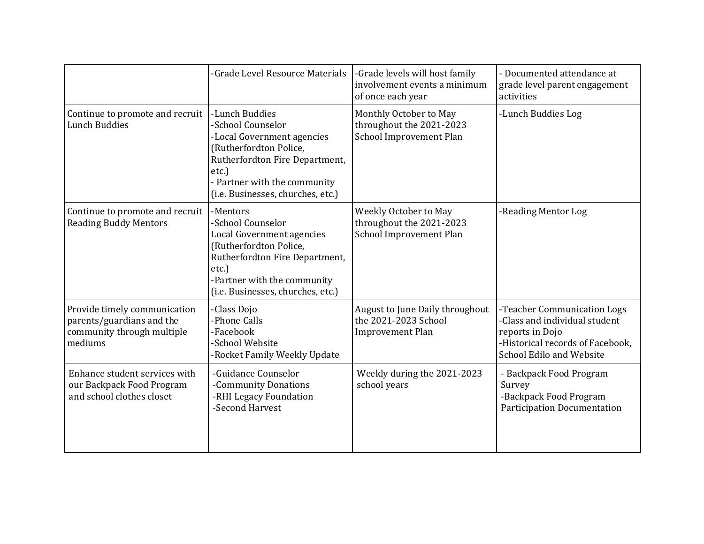|                                                                                                    | -Grade Level Resource Materials                                                                                                                                                                            | -Grade levels will host family<br>involvement events a minimum<br>of once each year | - Documented attendance at<br>grade level parent engagement<br>activities                                                                       |
|----------------------------------------------------------------------------------------------------|------------------------------------------------------------------------------------------------------------------------------------------------------------------------------------------------------------|-------------------------------------------------------------------------------------|-------------------------------------------------------------------------------------------------------------------------------------------------|
| Continue to promote and recruit<br><b>Lunch Buddies</b>                                            | -Lunch Buddies<br>-School Counselor<br>-Local Government agencies<br>(Rutherfordton Police,<br>Rutherfordton Fire Department,<br>etc.<br>- Partner with the community<br>(i.e. Businesses, churches, etc.) | Monthly October to May<br>throughout the 2021-2023<br>School Improvement Plan       | -Lunch Buddies Log                                                                                                                              |
| Continue to promote and recruit<br><b>Reading Buddy Mentors</b>                                    | -Mentors<br>-School Counselor<br>Local Government agencies<br>(Rutherfordton Police,<br>Rutherfordton Fire Department,<br>$etc.$ )<br>-Partner with the community<br>(i.e. Businesses, churches, etc.)     | Weekly October to May<br>throughout the 2021-2023<br>School Improvement Plan        | -Reading Mentor Log                                                                                                                             |
| Provide timely communication<br>parents/guardians and the<br>community through multiple<br>mediums | -Class Dojo<br>-Phone Calls<br>-Facebook<br>-School Website<br>-Rocket Family Weekly Update                                                                                                                | August to June Daily throughout<br>the 2021-2023 School<br><b>Improvement Plan</b>  | -Teacher Communication Logs<br>-Class and individual student<br>reports in Dojo<br>-Historical records of Facebook,<br>School Edilo and Website |
| Enhance student services with<br>our Backpack Food Program<br>and school clothes closet            | -Guidance Counselor<br>-Community Donations<br>-RHI Legacy Foundation<br>-Second Harvest                                                                                                                   | Weekly during the 2021-2023<br>school years                                         | - Backpack Food Program<br>Survey<br>-Backpack Food Program<br><b>Participation Documentation</b>                                               |